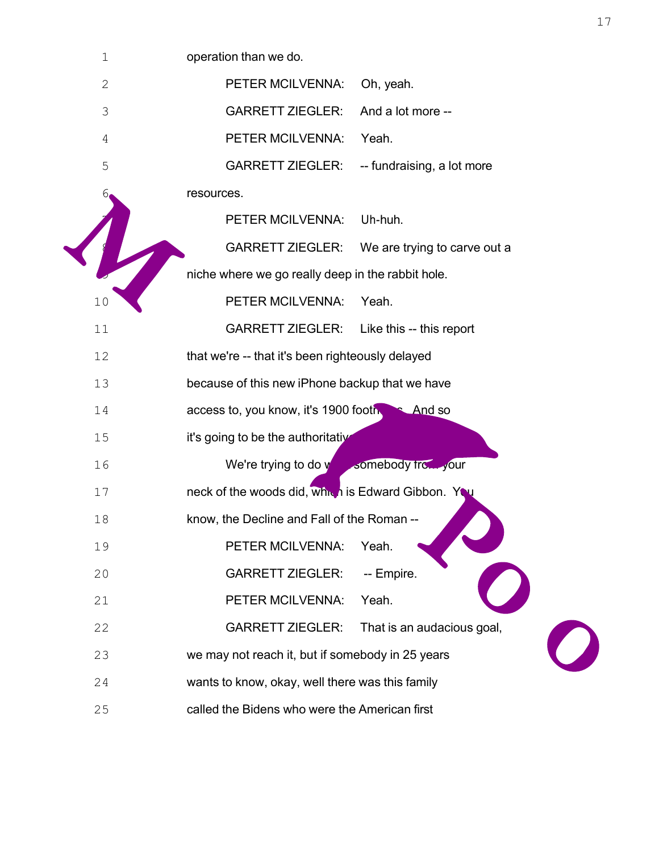| $\mathbf 1$ | operation than we do.                              |                              |
|-------------|----------------------------------------------------|------------------------------|
| 2           | PETER MCILVENNA:                                   | Oh, yeah.                    |
| 3           | <b>GARRETT ZIEGLER:</b>                            | And a lot more --            |
| 4           | PETER MCILVENNA:                                   | Yeah.                        |
| 5           | <b>GARRETT ZIEGLER:</b>                            | -- fundraising, a lot more   |
| 6           | resources.                                         |                              |
| 7           | PETER MCILVENNA:                                   | Uh-huh.                      |
| 8           | <b>GARRETT ZIEGLER:</b>                            | We are trying to carve out a |
| $\mathsf 9$ | niche where we go really deep in the rabbit hole.  |                              |
| 10          | PETER MCILVENNA:                                   | Yeah.                        |
| 11          | GARRETT ZIEGLER: Like this -- this report          |                              |
| 12          | that we're -- that it's been righteously delayed   |                              |
| 13          | because of this new iPhone backup that we have     |                              |
| 14          | access to, you know, it's 1900 footnotes. And so   |                              |
| 15          | it's going to be the authoritative history.        |                              |
| 16          | We're trying to do what somebody from your         |                              |
| 17          | neck of the woods did, which is Edward Gibbon. You |                              |
| 18          | know, the Decline and Fall of the Roman --         |                              |
| 19          | PETER MCILVENNA:                                   | Yeah.                        |
| 20          | <b>GARRETT ZIEGLER:</b>                            | -- Empire.                   |
| 21          | PETER MCILVENNA:                                   | Yeah.                        |
| 22          | <b>GARRETT ZIEGLER:</b>                            | That is an audacious goal,   |
| 23          | we may not reach it, but if somebody in 25 years   |                              |
| 24          | wants to know, okay, well there was this family    |                              |
| 25          | called the Bidens who were the American first      |                              |
|             |                                                    |                              |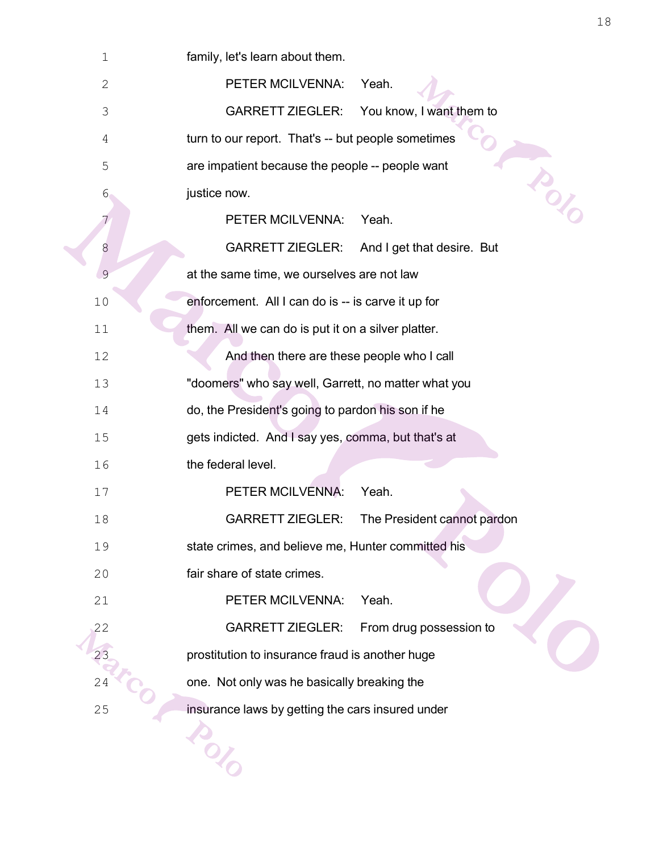| $\mathbf 1$  | family, let's learn about them.                         |
|--------------|---------------------------------------------------------|
| $\mathbf{2}$ | PETER MCILVENNA:<br>Yeah.                               |
| 3            | <b>GARRETT ZIEGLER:</b><br>You know, I want them to     |
| 4            | turn to our report. That's -- but people sometimes      |
| 5            | TOUT<br>are impatient because the people -- people want |
| 6            | justice now.                                            |
| 7            | PETER MCILVENNA:<br>Yeah.                               |
| 8            | <b>GARRETT ZIEGLER:</b><br>And I get that desire. But   |
| 9            | at the same time, we ourselves are not law              |
| 10           | enforcement. All I can do is -- is carve it up for      |
| 11           | them. All we can do is put it on a silver platter.      |
| 12           | And then there are these people who I call              |
| 13           | "doomers" who say well, Garrett, no matter what you     |
| 14           | do, the President's going to pardon his son if he       |
| 15           | gets indicted. And I say yes, comma, but that's at      |
| 16           | the federal level.                                      |
| 17           | PETER MCILVENNA:<br>Yeah.                               |
| 18           | <b>GARRETT ZIEGLER:</b><br>The President cannot pardon  |
| 19           | state crimes, and believe me, Hunter committed his      |
| 20           | fair share of state crimes.                             |
| 21           | PETER MCILVENNA:<br>Yeah.                               |
| 22           | <b>GARRETT ZIEGLER:</b><br>From drug possession to      |
|              | prostitution to insurance fraud is another huge         |
| 24           | one. Not only was he basically breaking the             |
| 25           | insurance laws by getting the cars insured under        |
|              |                                                         |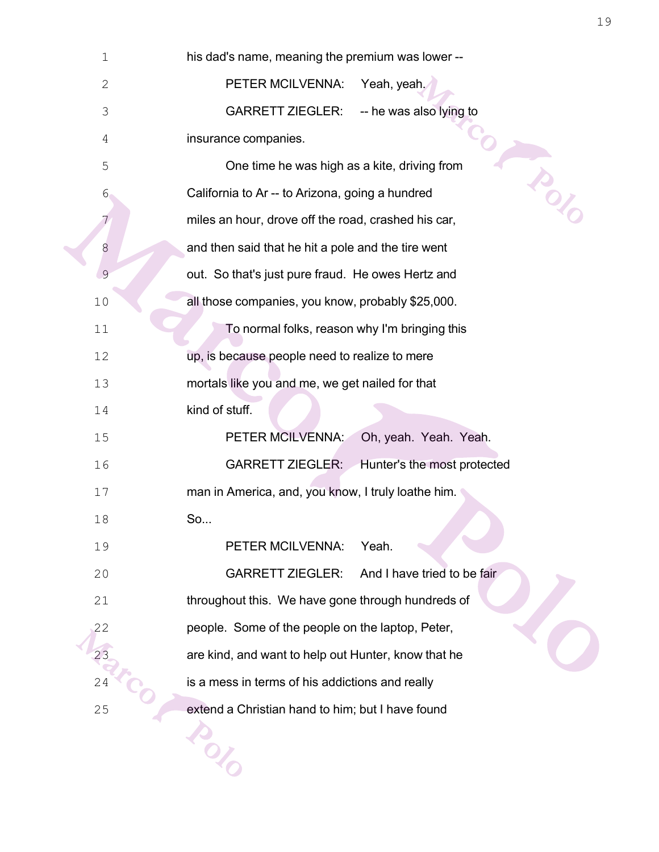| $\mathbf 1$    | his dad's name, meaning the premium was lower --           |
|----------------|------------------------------------------------------------|
| $\mathbf{2}$   | PETER MCILVENNA:<br>Yeah, yeah,                            |
| 3              | <b>GARRETT ZIEGLER:</b><br>-- he was also lying to         |
| 4              | insurance companies.                                       |
| 5              | <b>AND</b><br>One time he was high as a kite, driving from |
| $6 \,$         | California to Ar -- to Arizona, going a hundred            |
| 7              | miles an hour, drove off the road, crashed his car,        |
| 8              | and then said that he hit a pole and the tire went         |
| $\mathfrak{S}$ | out. So that's just pure fraud. He owes Hertz and          |
| 10             | all those companies, you know, probably \$25,000.          |
| 11             | To normal folks, reason why I'm bringing this              |
| 12             | up, is because people need to realize to mere              |
| 13             | mortals like you and me, we get nailed for that            |
| 14             | kind of stuff.                                             |
| 15             | PETER MCILVENNA:<br>Oh, yeah. Yeah. Yeah.                  |
| 16             | <b>GARRETT ZIEGLER:</b><br>Hunter's the most protected     |
| 17             | man in America, and, you know, I truly loathe him.         |
| 18             | So                                                         |
| 19             | Yeah.<br>PETER MCILVENNA:                                  |
| 20             | <b>GARRETT ZIEGLER:</b><br>And I have tried to be fair     |
| 21             | throughout this. We have gone through hundreds of          |
| 22             | people. Some of the people on the laptop, Peter,           |
| 23             | are kind, and want to help out Hunter, know that he        |
| 24             | is a mess in terms of his addictions and really            |
| 25             | extend a Christian hand to him; but I have found           |
|                |                                                            |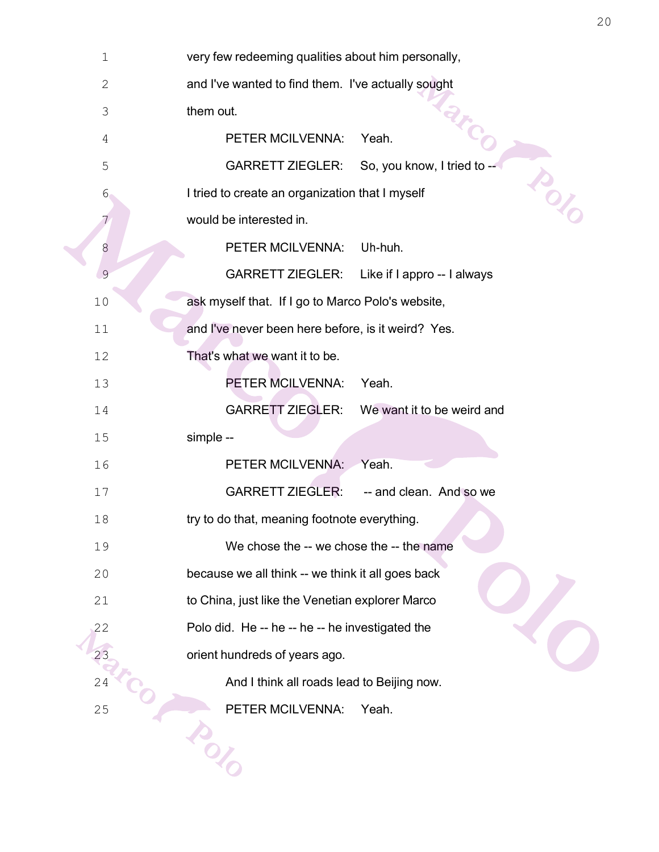| $\mathbf 1$    | very few redeeming qualities about him personally,       |
|----------------|----------------------------------------------------------|
| $\overline{2}$ | and I've wanted to find them. I've actually sought       |
| 3              | them out.                                                |
| 4              | PETER MCILVENNA:<br>Yeah.                                |
| 5              | <b>GARRETT ZIEGLER:</b><br>So, you know, I tried to --   |
| $6 \,$         | TON O<br>I tried to create an organization that I myself |
| 7              | would be interested in.                                  |
| 8              | PETER MCILVENNA:<br>Uh-huh.                              |
| $\overline{9}$ | <b>GARRETT ZIEGLER:</b><br>Like if I appro -- I always   |
| 10             | ask myself that. If I go to Marco Polo's website,        |
| 11             | and I've never been here before, is it weird? Yes.       |
| 12             | That's what we want it to be.                            |
| 13             | PETER MCILVENNA:<br>Yeah.                                |
| 14             | <b>GARRETT ZIEGLER:</b><br>We want it to be weird and    |
| 15             | simple --                                                |
| 16             | PETER MCILVENNA:<br>Yeah.                                |
| 17             | <b>GARRETT ZIEGLER:</b><br>-- and clean. And so we       |
| 18             | try to do that, meaning footnote everything.             |
| 19             | We chose the -- we chose the -- the name                 |
| 20             | because we all think -- we think it all goes back        |
| 21             | to China, just like the Venetian explorer Marco          |
| 22             | Polo did. He -- he -- he -- he investigated the          |
| 23             | orient hundreds of years ago.                            |
| 24             | And I think all roads lead to Beijing now.               |
| 25             | PETER MCILVENNA:<br>Yeah.                                |
|                |                                                          |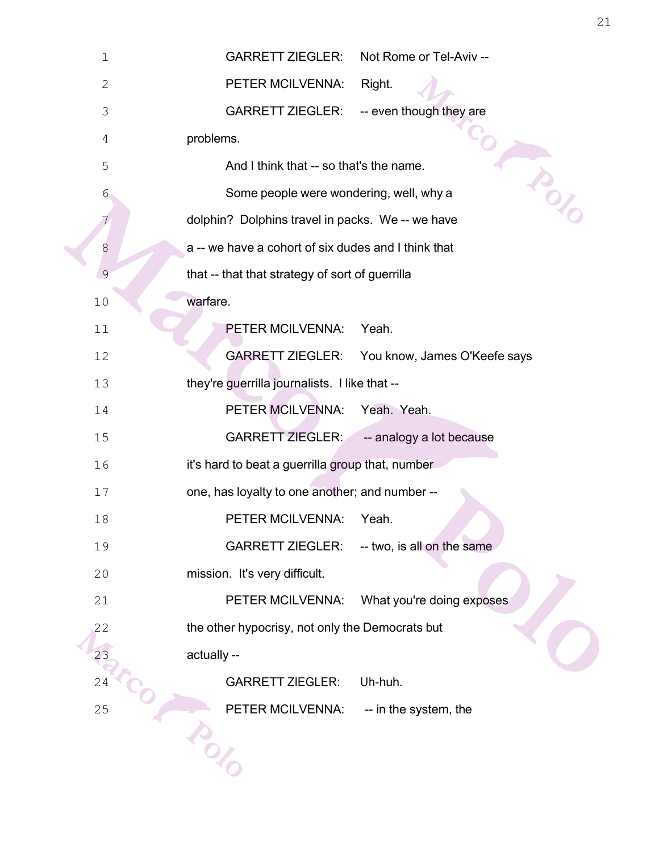| $1\,$        | <b>GARRETT ZIEGLER:</b><br>Not Rome or Tel-Aviv --      |
|--------------|---------------------------------------------------------|
| $\mathbf{2}$ | PETER MCILVENNA:<br>Right.                              |
| 3            | <b>GARRETT ZIEGLER:</b><br>-- even though they are      |
| 4            | problems.                                               |
| 5            | And I think that -- so that's the name.                 |
| $6\,$        | TON.<br>Some people were wondering, well, why a         |
| 7            | dolphin? Dolphins travel in packs. We -- we have        |
| 8            | a -- we have a cohort of six dudes and I think that     |
| 9            | that -- that that strategy of sort of guerrilla         |
| 10           | warfare.                                                |
| 11           | PETER MCILVENNA:<br>Yeah.                               |
| 12           | <b>GARRETT ZIEGLER:</b><br>You know, James O'Keefe says |
| 13           | they're guerrilla journalists. I like that --           |
| 14           | PETER MCILVENNA:<br>Yeah. Yeah.                         |
| 15           | <b>GARRETT ZIEGLER:</b><br>-- analogy a lot because     |
| 16           | it's hard to beat a guerrilla group that, number        |
| 17           | one, has loyalty to one another; and number --          |
| 18           | PETER MCILVENNA:<br>Yeah.                               |
| 19           | -- two, is all on the same<br><b>GARRETT ZIEGLER:</b>   |
| 20           | mission. It's very difficult.                           |
| 21           | PETER MCILVENNA:<br>What you're doing exposes           |
| 22           | the other hypocrisy, not only the Democrats but         |
|              | actually --                                             |
| 24           | <b>GARRETT ZIEGLER:</b><br>Uh-huh.                      |
| 25           | PETER MCILVENNA:<br>-- in the system, the               |
|              |                                                         |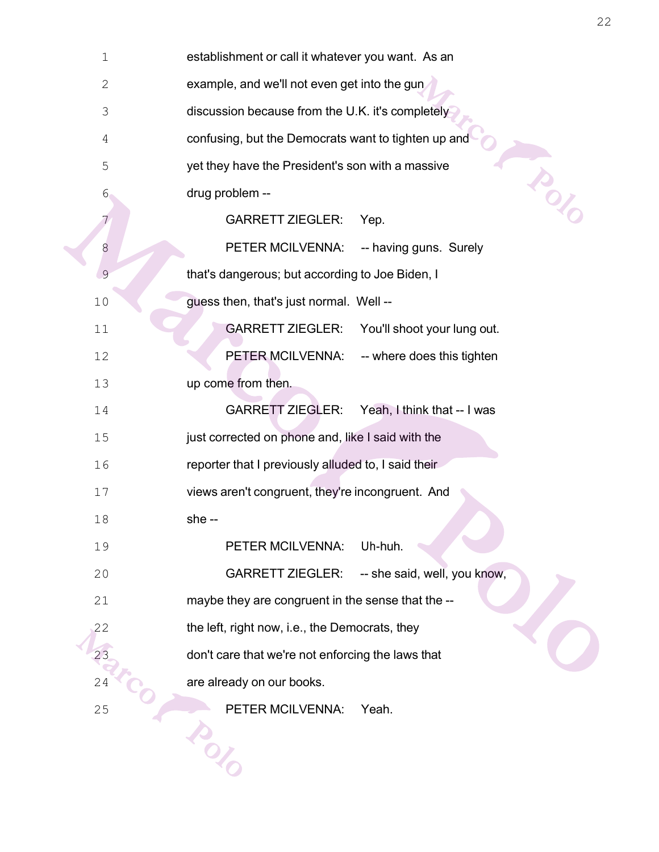| 1            | establishment or call it whatever you want. As an       |
|--------------|---------------------------------------------------------|
| $\mathbf{2}$ | example, and we'll not even get into the gun            |
| 3            | discussion because from the U.K. it's completely        |
| 4            | confusing, but the Democrats want to tighten up and     |
| 5            | yet they have the President's son with a massive        |
| 6            | in C<br>drug problem --                                 |
| 7            | <b>GARRETT ZIEGLER:</b><br>Yep.                         |
| 8            | PETER MCILVENNA:<br>-- having guns. Surely              |
| 9            | that's dangerous; but according to Joe Biden, I         |
| 10           | guess then, that's just normal. Well --                 |
| 11           | <b>GARRETT ZIEGLER:</b><br>You'll shoot your lung out.  |
| 12           | PETER MCILVENNA:<br>-- where does this tighten          |
| 13           | up come from then.                                      |
| 14           | <b>GARRETT ZIEGLER:</b><br>Yeah, I think that -- I was  |
| 15           | just corrected on phone and, like I said with the       |
| 16           | reporter that I previously alluded to, I said their     |
| 17           | views aren't congruent, they're incongruent. And        |
| 18           | she --                                                  |
| 19           | Uh-huh.<br>PETER MCILVENNA:                             |
| 20           | <b>GARRETT ZIEGLER:</b><br>-- she said, well, you know, |
| 21           | maybe they are congruent in the sense that the --       |
| 22           | the left, right now, i.e., the Democrats, they          |
| 23           | don't care that we're not enforcing the laws that       |
| 24           | are already on our books.                               |
| 25           | PETER MCILVENNA:<br>Yeah.                               |
|              |                                                         |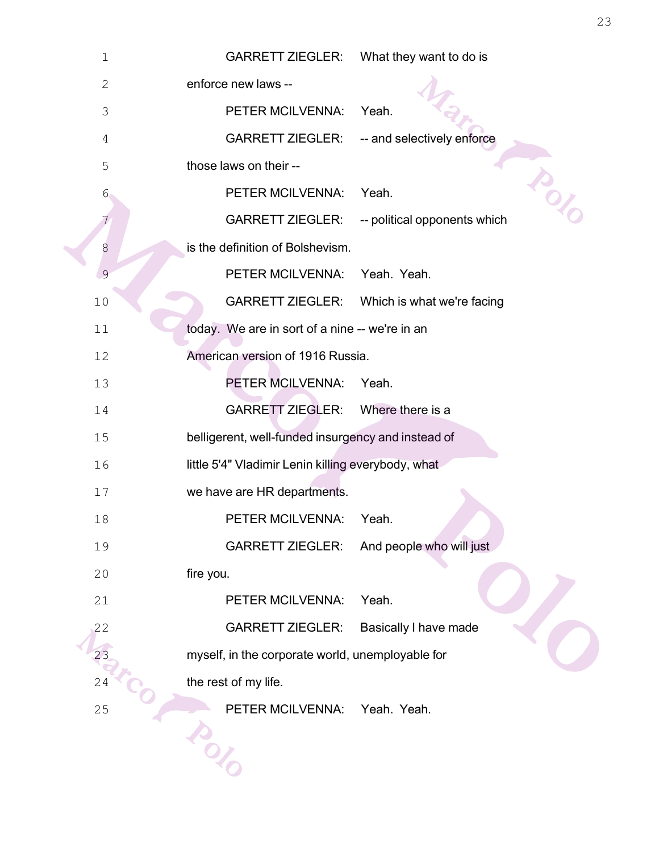| $1\,$         | <b>GARRETT ZIEGLER:</b><br>What they want to do is      |
|---------------|---------------------------------------------------------|
| $\mathbf{2}$  | enforce new laws --                                     |
| 3             | PETER MCILVENNA:<br>Yeah.                               |
| 4             | <b>GARRETT ZIEGLER:</b><br>-- and selectively enforce   |
| 5             | those laws on their --<br>1201                          |
| $6 \,$        | PETER MCILVENNA:<br>Yeah.                               |
| 7             | <b>GARRETT ZIEGLER:</b><br>-- political opponents which |
| 8             | is the definition of Bolshevism.                        |
| $\mathcal{G}$ | PETER MCILVENNA:<br>Yeah. Yeah.                         |
| 10            | <b>GARRETT ZIEGLER:</b><br>Which is what we're facing   |
| 11            | today. We are in sort of a nine -- we're in an          |
| 12            | American version of 1916 Russia.                        |
| 13            | PETER MCILVENNA:<br>Yeah.                               |
| 14            | <b>GARRETT ZIEGLER:</b><br>Where there is a             |
| 15            | belligerent, well-funded insurgency and instead of      |
| 16            | little 5'4" Vladimir Lenin killing everybody, what      |
| 17            | we have are HR departments.                             |
| 18            | <b>PETER MCILVENNA:</b><br>Yeah.                        |
| 19            | And people who will just<br><b>GARRETT ZIEGLER:</b>     |
| 20            | fire you.                                               |
| 21            | PETER MCILVENNA:<br>Yeah.                               |
| 22            | <b>GARRETT ZIEGLER:</b><br>Basically I have made        |
| 23            | myself, in the corporate world, unemployable for        |
| 24            | the rest of my life.                                    |
| 25            | PETER MCILVENNA:<br>Yeah. Yeah.                         |
|               |                                                         |
|               |                                                         |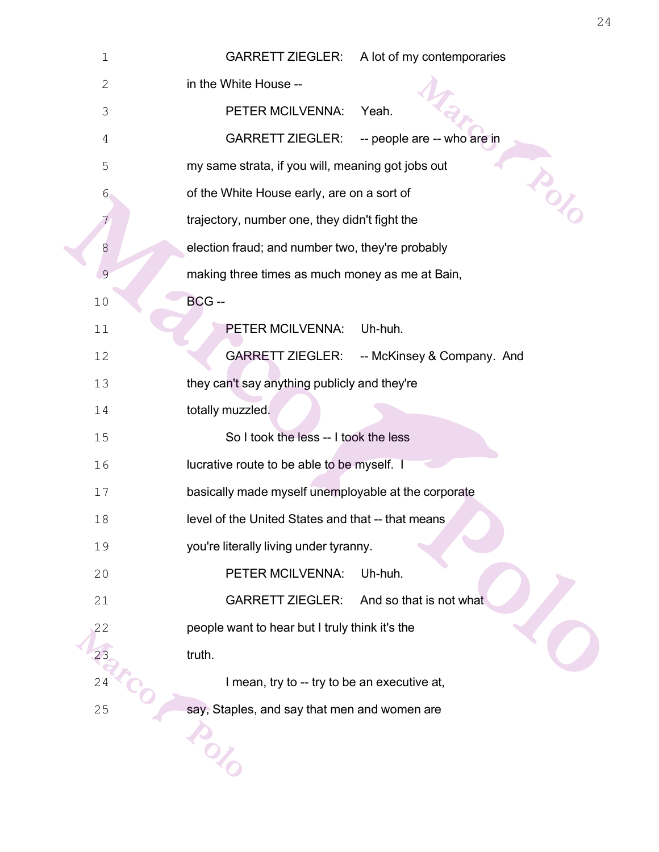| $\mathbf 1$  | <b>GARRETT ZIEGLER:</b><br>A lot of my contemporaries  |
|--------------|--------------------------------------------------------|
| $\mathbf{2}$ | in the White House --                                  |
| 3            | PETER MCILVENNA:<br>Yeah.                              |
| 4            | <b>GARRETT ZIEGLER:</b><br>-- people are -- who are in |
| 5            | my same strata, if you will, meaning got jobs out      |
| $6 \,$       | DOT<br>of the White House early, are on a sort of      |
| 7            | trajectory, number one, they didn't fight the          |
| 8            | election fraud; and number two, they're probably       |
| 9            | making three times as much money as me at Bain,        |
| 10           | BCG-                                                   |
| 11           | PETER MCILVENNA:<br>Uh-huh.                            |
| 12           | <b>GARRETT ZIEGLER:</b><br>-- McKinsey & Company. And  |
| 13           | they can't say anything publicly and they're           |
| 14           | totally muzzled.                                       |
| 15           | So I took the less -- I took the less                  |
| 16           | lucrative route to be able to be myself. I             |
| 17           | basically made myself unemployable at the corporate    |
| 18           | level of the United States and that -- that means      |
| 19           | you're literally living under tyranny.                 |
| 20           | PETER MCILVENNA:<br>Uh-huh.                            |
| 21           | <b>GARRETT ZIEGLER:</b><br>And so that is not what     |
| 22           | people want to hear but I truly think it's the         |
|              | truth.                                                 |
| 24           | I mean, try to -- try to be an executive at,           |
| 25           | say, Staples, and say that men and women are           |
|              |                                                        |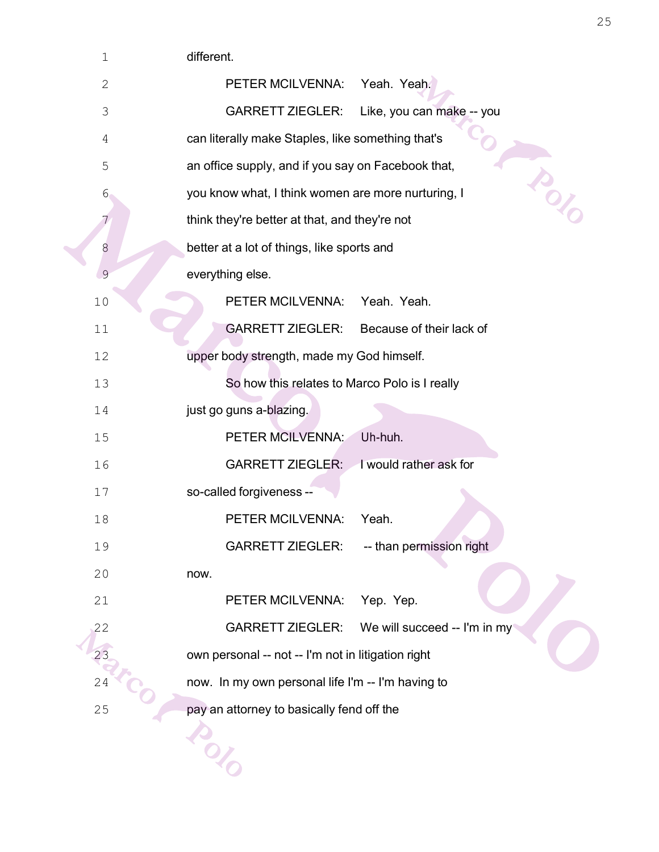| $\mathbf 1$    | different.                                                 |
|----------------|------------------------------------------------------------|
| $\mathbf 2$    | Yeah. Yeah.<br>PETER MCILVENNA:                            |
| 3              | <b>GARRETT ZIEGLER:</b><br>Like, you can make -- you       |
| $\overline{4}$ | can literally make Staples, like something that's          |
| 5              | indo<br>an office supply, and if you say on Facebook that, |
| 6              | you know what, I think women are more nurturing, I         |
| 7              | think they're better at that, and they're not              |
| 8              | better at a lot of things, like sports and                 |
| 9              | everything else.                                           |
| 10             | PETER MCILVENNA:<br>Yeah. Yeah.                            |
| 11             | <b>GARRETT ZIEGLER:</b><br>Because of their lack of        |
| 12             | upper body strength, made my God himself.                  |
| 13             | So how this relates to Marco Polo is I really              |
| 14             | just go guns a-blazing.                                    |
| 15             | PETER MCILVENNA:<br>Uh-huh.                                |
| 16             | I would rather ask for<br><b>GARRETT ZIEGLER:</b>          |
| 17             | so-called forgiveness --                                   |
| 18             | PETER MCILVENNA:<br>Yeah.                                  |
| 19             | <b>GARRETT ZIEGLER:</b><br>-- than permission right        |
| 20             | now.                                                       |
| 21             | PETER MCILVENNA:<br>Yep. Yep.                              |
| 22             | <b>GARRETT ZIEGLER:</b><br>We will succeed -- I'm in my    |
| 23             | own personal -- not -- I'm not in litigation right         |
| 24             | now. In my own personal life I'm -- I'm having to          |
| 25             | pay an attorney to basically fend off the                  |
|                |                                                            |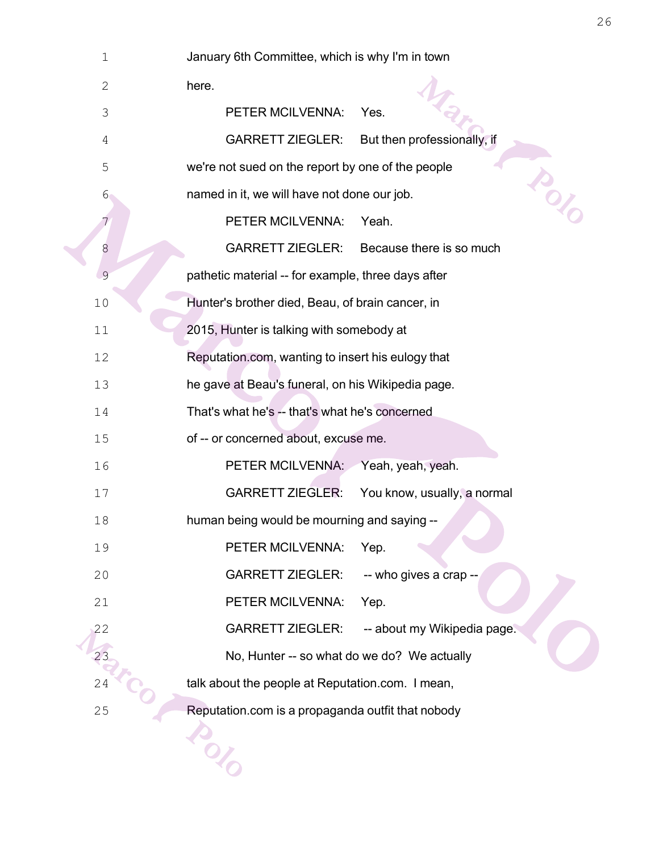| 1              | January 6th Committee, which is why I'm in town        |
|----------------|--------------------------------------------------------|
| $\mathbf{2}$   | here.                                                  |
| 3              | PETER MCILVENNA:<br>Yes.                               |
| $\overline{4}$ | <b>GARRETT ZIEGLER:</b><br>But then professionally, if |
| 5              | we're not sued on the report by one of the people      |
| 6              | is (2)<br>named in it, we will have not done our job.  |
| 7              | PETER MCILVENNA:<br>Yeah.                              |
| 8              | <b>GARRETT ZIEGLER:</b><br>Because there is so much    |
| 9              | pathetic material -- for example, three days after     |
| 10             | Hunter's brother died, Beau, of brain cancer, in       |
| 11             | 2015, Hunter is talking with somebody at               |
| 12             | Reputation.com, wanting to insert his eulogy that      |
| 13             | he gave at Beau's funeral, on his Wikipedia page.      |
| 14             | That's what he's -- that's what he's concerned         |
| 15             | of -- or concerned about, excuse me.                   |
| 16             | PETER MCILVENNA:<br>Yeah, yeah, yeah.                  |
| 17             | <b>GARRETT ZIEGLER:</b><br>You know, usually, a normal |
| 18             | human being would be mourning and saying --            |
| 19             | PETER MCILVENNA:<br>Yep.                               |
| 20             | <b>GARRETT ZIEGLER:</b><br>-- who gives a crap --      |
| 21             | PETER MCILVENNA:<br>Yep.                               |
| 22             | <b>GARRETT ZIEGLER:</b><br>-- about my Wikipedia page. |
| 23             | No, Hunter -- so what do we do? We actually            |
| 24             | talk about the people at Reputation.com. I mean,       |
| 25             | Reputation.com is a propaganda outfit that nobody      |
|                |                                                        |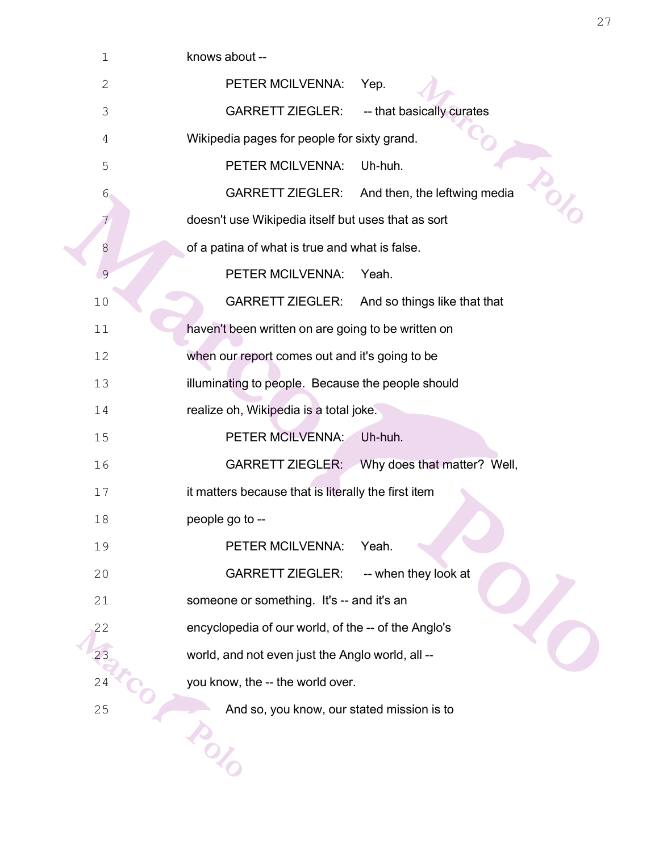| 1              | knows about --                                                     |
|----------------|--------------------------------------------------------------------|
| $\mathbf{2}$   | PETER MCILVENNA:<br>Yep.                                           |
| 3              | <b>GARRETT ZIEGLER:</b><br>-- that basically curates               |
| $\overline{4}$ | Wikipedia pages for people for sixty grand.                        |
| 5              | PETER MCILVENNA:<br>Uh-huh.                                        |
| $6 \,$         | o<br>Oz<br><b>GARRETT ZIEGLER:</b><br>And then, the leftwing media |
| 7              | doesn't use Wikipedia itself but uses that as sort                 |
| 8              | of a patina of what is true and what is false.                     |
| 9              | PETER MCILVENNA:<br>Yeah.                                          |
| 10             | <b>GARRETT ZIEGLER:</b><br>And so things like that that            |
| 11             | haven't been written on are going to be written on                 |
| 12             | when our report comes out and it's going to be                     |
| 13             | illuminating to people. Because the people should                  |
| 14             | realize oh, Wikipedia is a total joke.                             |
| 15             | PETER MCILVENNA:<br>Uh-huh.                                        |
| 16             | <b>GARRETT ZIEGLER:</b><br>Why does that matter? Well,             |
| 17             | it matters because that is literally the first item                |
| 18             | people go to --                                                    |
| 19             | PETER MCILVENNA:<br>Yeah.                                          |
| 20             | -- when they look at<br><b>GARRETT ZIEGLER:</b>                    |
| 21             | someone or something. It's -- and it's an                          |
| 22             | encyclopedia of our world, of the -- of the Anglo's                |
| 23             | world, and not even just the Anglo world, all --                   |
| 24             | you know, the -- the world over.                                   |
| 25             | And so, you know, our stated mission is to                         |
|                |                                                                    |
|                |                                                                    |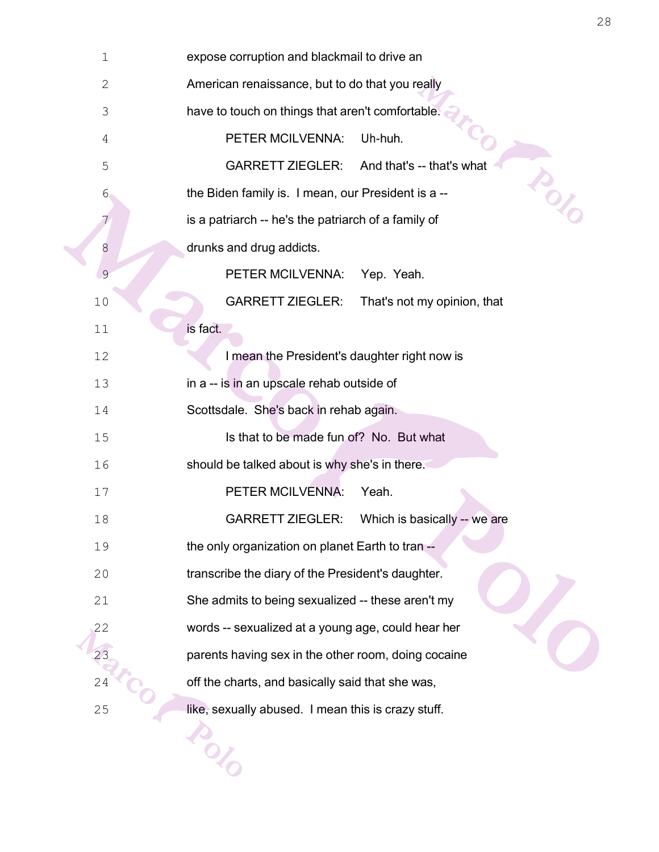| $1\,$       | expose corruption and blackmail to drive an                 |
|-------------|-------------------------------------------------------------|
| $\mathbf 2$ | American renaissance, but to do that you really             |
| 3           | have to touch on things that aren't comfortable.            |
| 4           | PETER MCILVENNA:<br>Uh-huh.                                 |
| 5           | <b>GARRETT ZIEGLER:</b><br>And that's -- that's what        |
| $6\,$       | in or<br>the Biden family is. I mean, our President is a -- |
|             | is a patriarch -- he's the patriarch of a family of         |
| 8           | drunks and drug addicts.                                    |
| 9           | PETER MCILVENNA:<br>Yep. Yeah.                              |
| 10          | <b>GARRETT ZIEGLER:</b><br>That's not my opinion, that      |
| 11          | is fact.                                                    |
| 12          | I mean the President's daughter right now is                |
| 13          | in a -- is in an upscale rehab outside of                   |
| 14          | Scottsdale. She's back in rehab again.                      |
| 15          | Is that to be made fun of? No. But what                     |
| 16          | should be talked about is why she's in there.               |
| 17          | PETER MCILVENNA:<br>Yeah.                                   |
| 18          | <b>GARRETT ZIEGLER:</b><br>Which is basically -- we are     |
| 19          | the only organization on planet Earth to tran --            |
| 20          | transcribe the diary of the President's daughter.           |
| 21          | She admits to being sexualized -- these aren't my           |
| 22          | words -- sexualized at a young age, could hear her          |
| 23          | parents having sex in the other room, doing cocaine         |
| 24          | off the charts, and basically said that she was,            |
| 25          | like, sexually abused. I mean this is crazy stuff.          |
|             |                                                             |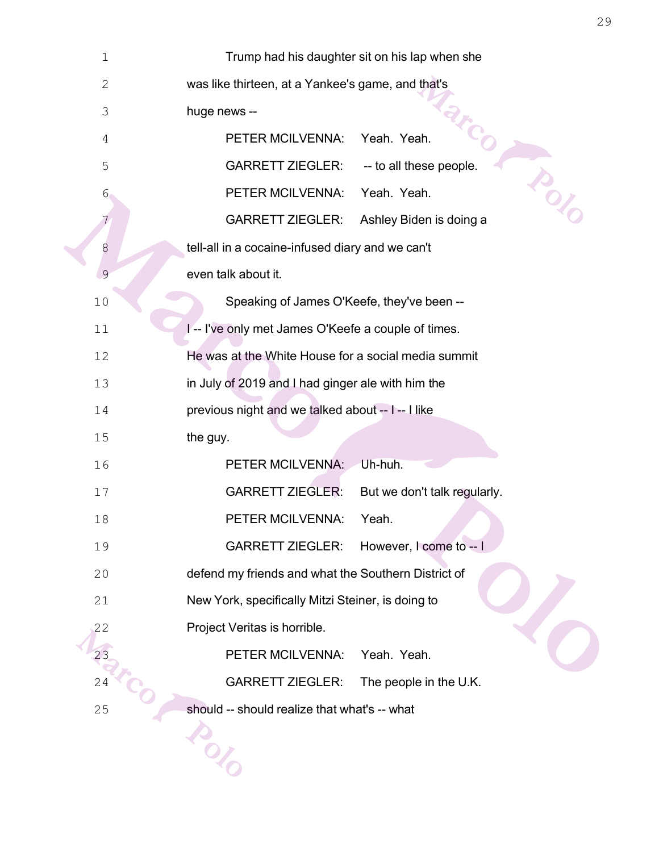| $\mathbf 1$    | Trump had his daughter sit on his lap when she          |  |
|----------------|---------------------------------------------------------|--|
| $\mathbf{2}$   | was like thirteen, at a Yankee's game, and that's       |  |
| $\mathfrak{Z}$ | huge news --                                            |  |
| 4              | Yeah. Yeah.<br>PETER MCILVENNA:                         |  |
| 5              | <b>GARRETT ZIEGLER:</b><br>-- to all these people.      |  |
| $6 \,$         | <b>TONS</b><br>PETER MCILVENNA:<br>Yeah. Yeah.          |  |
|                | <b>GARRETT ZIEGLER:</b><br>Ashley Biden is doing a      |  |
| $8\phantom{1}$ | tell-all in a cocaine-infused diary and we can't        |  |
| 9              | even talk about it.                                     |  |
| 10             | Speaking of James O'Keefe, they've been --              |  |
| 11             | I-- I've only met James O'Keefe a couple of times.      |  |
| 12             | He was at the White House for a social media summit     |  |
| 13             | in July of 2019 and I had ginger ale with him the       |  |
| 14             | previous night and we talked about -- I -- I like       |  |
| 15             | the guy.                                                |  |
| 16             | Uh-huh.<br>PETER MCILVENNA:                             |  |
| 17             | <b>GARRETT ZIEGLER:</b><br>But we don't talk regularly. |  |
| 18             | PETER MCILVENNA:<br>Yeah.                               |  |
| 19             | <b>GARRETT ZIEGLER:</b><br>However, I come to -- I      |  |
| 20             | defend my friends and what the Southern District of     |  |
| 21             | New York, specifically Mitzi Steiner, is doing to       |  |
| 22             | Project Veritas is horrible.                            |  |
| 23             | PETER MCILVENNA:<br>Yeah. Yeah.                         |  |
| 24             | <b>GARRETT ZIEGLER:</b><br>The people in the U.K.       |  |
| 25             | should -- should realize that what's -- what            |  |
|                |                                                         |  |
|                |                                                         |  |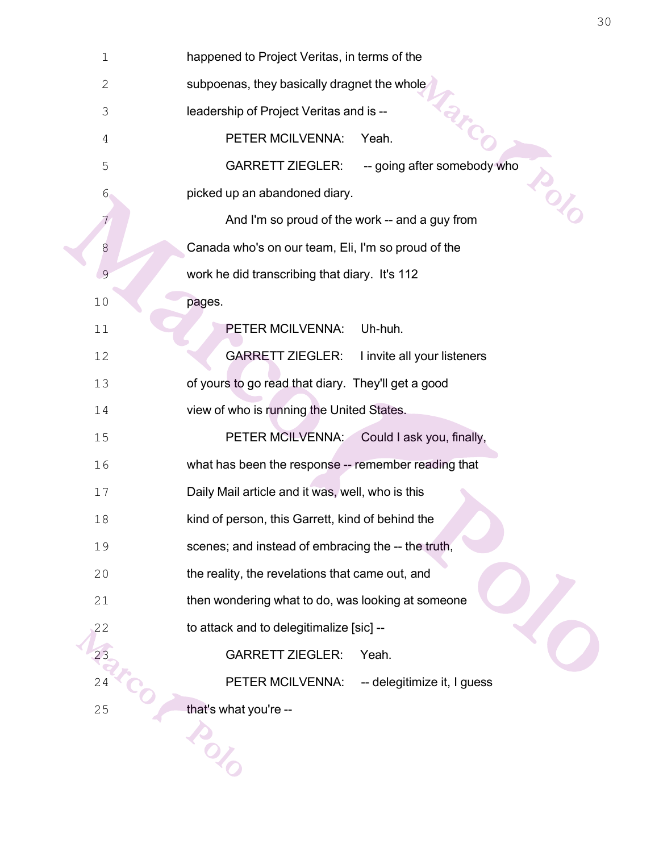| $1\,$        | happened to Project Veritas, in terms of the           |  |  |
|--------------|--------------------------------------------------------|--|--|
| $\mathbf{2}$ | subpoenas, they basically dragnet the whole            |  |  |
| 3            | leadership of Project Veritas and is --                |  |  |
| 4            | PETER MCILVENNA:<br>Yeah.                              |  |  |
| 5            | <b>GARRETT ZIEGLER:</b><br>-- going after somebody who |  |  |
| $6 \,$       | Pol.<br>picked up an abandoned diary.                  |  |  |
| 7            | And I'm so proud of the work -- and a guy from         |  |  |
| 8            | Canada who's on our team, Eli, I'm so proud of the     |  |  |
| 9            | work he did transcribing that diary. It's 112          |  |  |
| 10           | pages.                                                 |  |  |
| 11           | Uh-huh.<br>PETER MCILVENNA:                            |  |  |
| 12           | <b>GARRETT ZIEGLER:</b><br>I invite all your listeners |  |  |
| 13           | of yours to go read that diary. They'll get a good     |  |  |
| 14           | view of who is running the United States.              |  |  |
| 15           | PETER MCILVENNA:<br>Could I ask you, finally,          |  |  |
| 16           | what has been the response -- remember reading that    |  |  |
| 17           | Daily Mail article and it was, well, who is this       |  |  |
| 18           | kind of person, this Garrett, kind of behind the       |  |  |
| 19           | scenes; and instead of embracing the -- the truth,     |  |  |
| 20           | the reality, the revelations that came out, and        |  |  |
| 21           | then wondering what to do, was looking at someone      |  |  |
| 22           | to attack and to delegitimalize [sic] --               |  |  |
| 23           | <b>GARRETT ZIEGLER:</b><br>Yeah.                       |  |  |
| 24           | PETER MCILVENNA:<br>-- delegitimize it, I guess        |  |  |
| 25           | that's what you're --                                  |  |  |
|              |                                                        |  |  |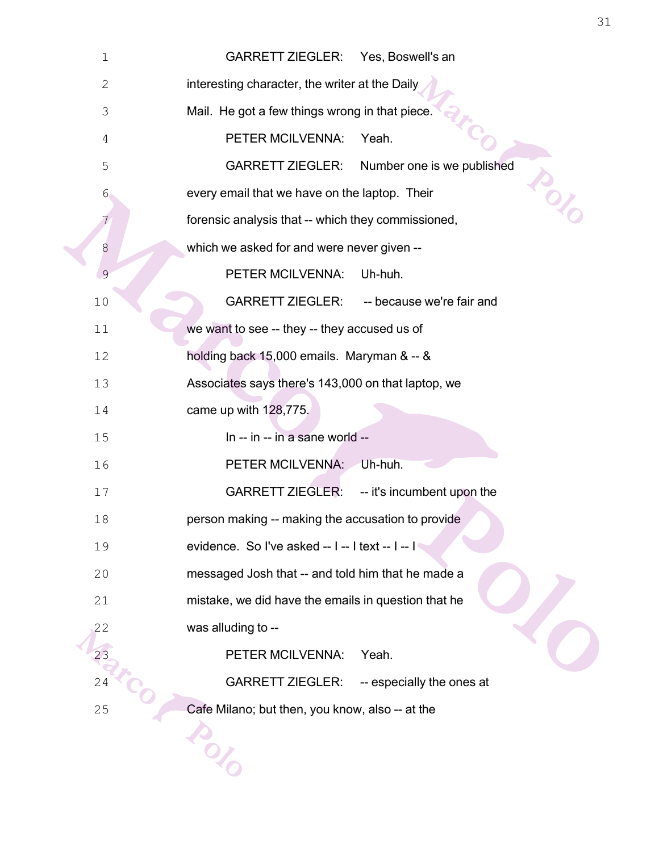| $1\,$          | <b>GARRETT ZIEGLER:</b><br>Yes, Boswell's an            |  |  |
|----------------|---------------------------------------------------------|--|--|
| $\mathbf{2}$   | interesting character, the writer at the Daily          |  |  |
| $\mathfrak{Z}$ | Mail. He got a few things wrong in that piece.          |  |  |
| 4              | PETER MCILVENNA:<br>Yeah.                               |  |  |
| 5              | <b>GARRETT ZIEGLER:</b><br>Number one is we published   |  |  |
| $6 \,$         | in old<br>every email that we have on the laptop. Their |  |  |
| 7              | forensic analysis that -- which they commissioned,      |  |  |
| 8              | which we asked for and were never given --              |  |  |
| 9              | PETER MCILVENNA:<br>Uh-huh.                             |  |  |
| $10$           | <b>GARRETT ZIEGLER:</b><br>-- because we're fair and    |  |  |
| 11             | we want to see -- they -- they accused us of            |  |  |
| 12             | holding back 15,000 emails. Maryman & -- &              |  |  |
| 13             | Associates says there's 143,000 on that laptop, we      |  |  |
| 14             | came up with 128,775.                                   |  |  |
| 15             | In -- in -- in a sane world --                          |  |  |
| 16             | PETER MCILVENNA:<br>Uh-huh.                             |  |  |
| 17             | <b>GARRETT ZIEGLER:</b><br>-- it's incumbent upon the   |  |  |
| 18             | person making -- making the accusation to provide       |  |  |
| 19             | evidence. So I've asked -- I -- I text -- I -- I        |  |  |
| 20             | messaged Josh that -- and told him that he made a       |  |  |
| 21             | mistake, we did have the emails in question that he     |  |  |
| 22             | was alluding to --                                      |  |  |
|                | PETER MCILVENNA:<br>Yeah.                               |  |  |
| 24             | <b>GARRETT ZIEGLER:</b><br>-- especially the ones at    |  |  |
| 25             | Cafe Milano; but then, you know, also -- at the         |  |  |
|                |                                                         |  |  |
|                |                                                         |  |  |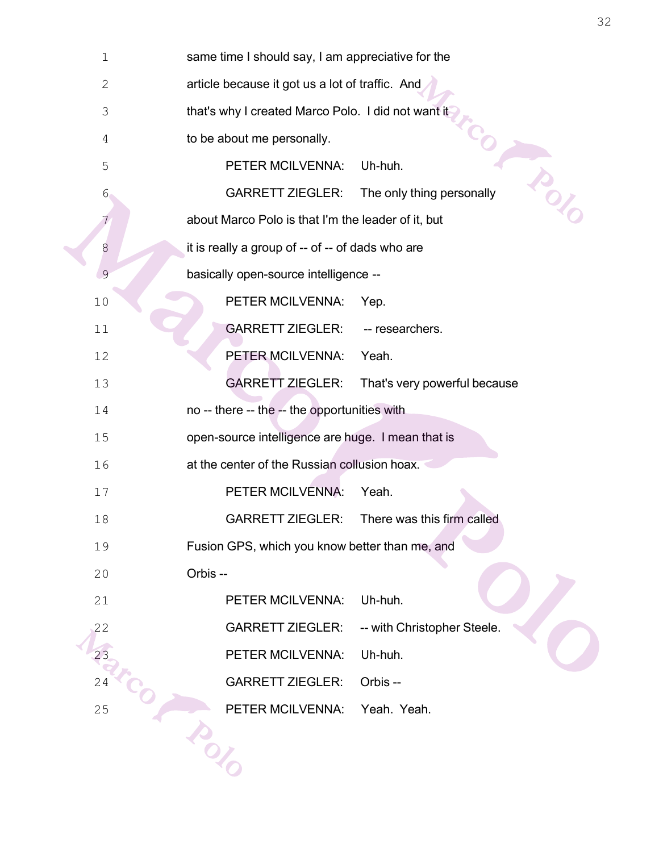| $1\,$          | same time I should say, I am appreciative for the           |  |  |
|----------------|-------------------------------------------------------------|--|--|
| $\mathbf{2}$   | article because it got us a lot of traffic. And             |  |  |
| $\mathfrak{Z}$ | that's why I created Marco Polo. I did not want it          |  |  |
| 4              | to be about me personally.                                  |  |  |
| 5              | PETER MCILVENNA:<br>Uh-huh.                                 |  |  |
| $6 \,$         | ing<br><b>GARRETT ZIEGLER:</b><br>The only thing personally |  |  |
|                | about Marco Polo is that I'm the leader of it, but          |  |  |
| 8              | it is really a group of -- of -- of dads who are            |  |  |
| $\mathfrak{S}$ | basically open-source intelligence --                       |  |  |
| 10             | PETER MCILVENNA:<br>Yep.                                    |  |  |
| 11             | <b>GARRETT ZIEGLER:</b><br>-- researchers.                  |  |  |
| 12             | PETER MCILVENNA:<br>Yeah.                                   |  |  |
| 13             | <b>GARRETT ZIEGLER:</b><br>That's very powerful because     |  |  |
| 14             | no -- there -- the -- the opportunities with                |  |  |
| 15             | open-source intelligence are huge. I mean that is           |  |  |
| 16             | at the center of the Russian collusion hoax.                |  |  |
| 17             | PETER MCILVENNA:<br>Yeah.                                   |  |  |
| 18             | <b>GARRETT ZIEGLER:</b><br>There was this firm called       |  |  |
| 19             | Fusion GPS, which you know better than me, and              |  |  |
| 20             | Orbis --                                                    |  |  |
| 21             | Uh-huh.<br>PETER MCILVENNA:                                 |  |  |
| 22             | <b>GARRETT ZIEGLER:</b><br>-- with Christopher Steele.      |  |  |
| 23             | PETER MCILVENNA:<br>Uh-huh.                                 |  |  |
| 24             | <b>GARRETT ZIEGLER:</b><br>Orbis --                         |  |  |
| 25             | PETER MCILVENNA:<br>Yeah. Yeah.                             |  |  |
|                |                                                             |  |  |
|                |                                                             |  |  |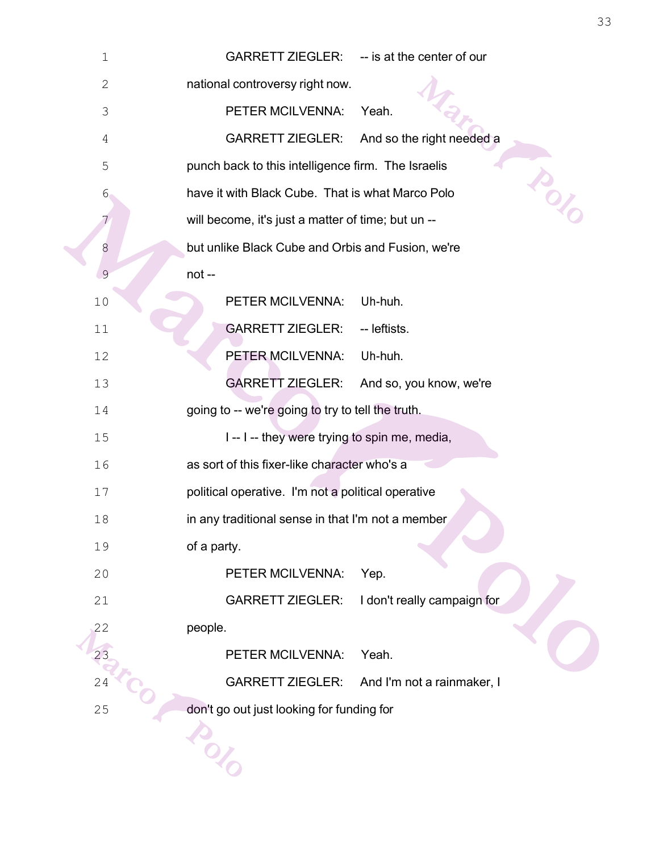| $\mathbf 1$  | <b>GARRETT ZIEGLER:</b><br>-- is at the center of our       |  |  |  |
|--------------|-------------------------------------------------------------|--|--|--|
| $\mathbf{2}$ | national controversy right now.                             |  |  |  |
| 3            | PETER MCILVENNA:<br>Yeah.                                   |  |  |  |
| 4            | <b>GARRETT ZIEGLER:</b><br>And so the right needed a        |  |  |  |
| 5            | punch back to this intelligence firm. The Israelis          |  |  |  |
| 6            | D<br>Of<br>have it with Black Cube. That is what Marco Polo |  |  |  |
| 7            | will become, it's just a matter of time; but un --          |  |  |  |
| 8            | but unlike Black Cube and Orbis and Fusion, we're           |  |  |  |
| 9            | not-                                                        |  |  |  |
| 10           | PETER MCILVENNA:<br>Uh-huh.                                 |  |  |  |
| 11           | <b>GARRETT ZIEGLER:</b><br>-- leftists.                     |  |  |  |
| 12           | PETER MCILVENNA:<br>Uh-huh.                                 |  |  |  |
| 13           | <b>GARRETT ZIEGLER:</b><br>And so, you know, we're          |  |  |  |
| 14           | going to -- we're going to try to tell the truth.           |  |  |  |
| 15           | I -- I -- they were trying to spin me, media,               |  |  |  |
| 16           | as sort of this fixer-like character who's a                |  |  |  |
| 17           | political operative. I'm not a political operative          |  |  |  |
| 18           | in any traditional sense in that I'm not a member           |  |  |  |
| 19           | of a party.                                                 |  |  |  |
| 20           | PETER MCILVENNA:<br>Yep.                                    |  |  |  |
| 21           | <b>GARRETT ZIEGLER:</b><br>I don't really campaign for      |  |  |  |
| 22           | people.                                                     |  |  |  |
|              | Yeah.<br>PETER MCILVENNA:                                   |  |  |  |
| 24           | <b>GARRETT ZIEGLER:</b><br>And I'm not a rainmaker, I       |  |  |  |
| 25           | don't go out just looking for funding for                   |  |  |  |
|              |                                                             |  |  |  |
|              |                                                             |  |  |  |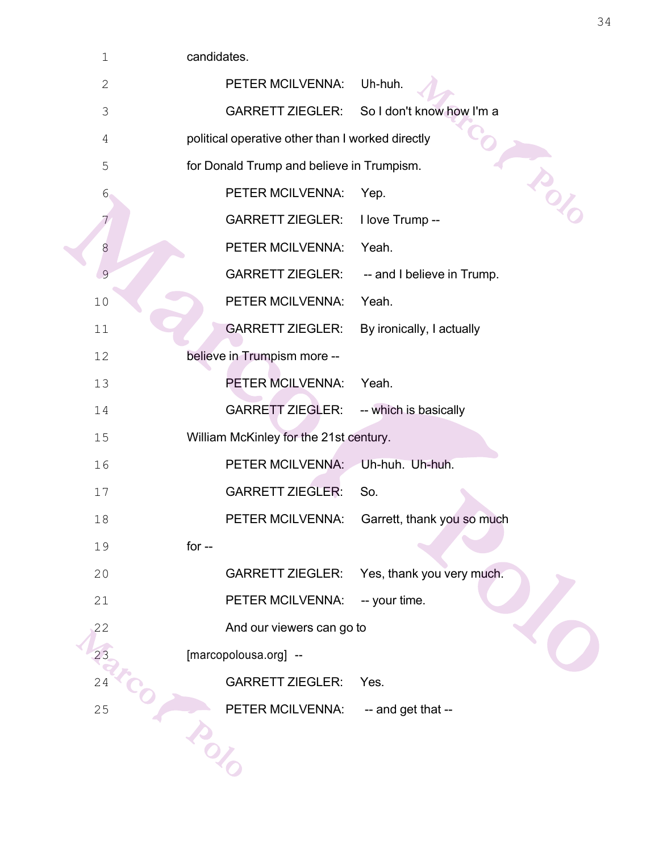| $\mathbf 1$    | candidates.                                           |                            |  |  |
|----------------|-------------------------------------------------------|----------------------------|--|--|
| $\mathbf{2}$   | Uh-huh.<br>PETER MCILVENNA:                           |                            |  |  |
| $\mathfrak{Z}$ | <b>GARRETT ZIEGLER:</b>                               | So I don't know how I'm a  |  |  |
| $\overline{4}$ | political operative other than I worked directly      |                            |  |  |
| 5              | for Donald Trump and believe in Trumpism.             | isor                       |  |  |
| $6 \,$         | PETER MCILVENNA:<br>Yep.                              |                            |  |  |
| 7              | <b>GARRETT ZIEGLER:</b><br>I love Trump --            |                            |  |  |
| 8              | Yeah.<br>PETER MCILVENNA:                             |                            |  |  |
| $\mathcal{G}$  | <b>GARRETT ZIEGLER:</b><br>-- and I believe in Trump. |                            |  |  |
| 10             | PETER MCILVENNA:<br>Yeah.                             |                            |  |  |
| 11             | <b>GARRETT ZIEGLER:</b><br>By ironically, I actually  |                            |  |  |
| 12             | believe in Trumpism more --                           |                            |  |  |
| 13             | PETER MCILVENNA:<br>Yeah.                             |                            |  |  |
| 14             | <b>GARRETT ZIEGLER:</b><br>-- which is basically      |                            |  |  |
| 15             | William McKinley for the 21st century.                |                            |  |  |
| 16             | PETER MCILVENNA:<br>Uh-huh. Uh-huh.                   |                            |  |  |
| 17             | <b>GARRETT ZIEGLER:</b><br>So.                        |                            |  |  |
| 18             | PETER MCILVENNA:                                      | Garrett, thank you so much |  |  |
| 19             | for $-$                                               |                            |  |  |
| 20             | <b>GARRETT ZIEGLER:</b><br>Yes, thank you very much.  |                            |  |  |
| 21             | PETER MCILVENNA:<br>-- your time.                     |                            |  |  |
| 22             | And our viewers can go to                             |                            |  |  |
| 23             | [marcopolousa.org] --                                 |                            |  |  |
| 24             | <b>GARRETT ZIEGLER:</b><br>Yes.                       |                            |  |  |
| 25             | PETER MCILVENNA:<br>-- and get that --                |                            |  |  |
|                |                                                       |                            |  |  |